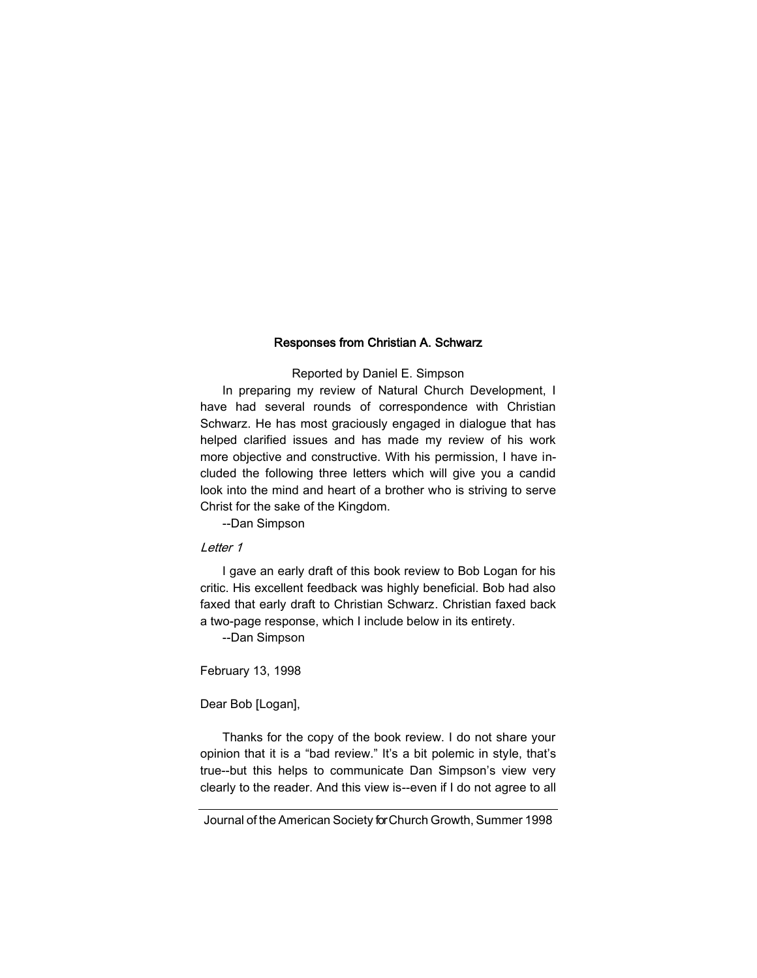## Responses from Christian A. Schwarz

## Reported by Daniel E. Simpson

In preparing my review of Natural Church Development, I have had several rounds of correspondence with Christian Schwarz. He has most graciously engaged in dialogue that has helped clarified issues and has made my review of his work more objective and constructive. With his permission, I have included the following three letters which will give you a candid look into the mind and heart of a brother who is striving to serve Christ for the sake of the Kingdom.

--Dan Simpson

## Letter 1

I gave an early draft of this book review to Bob Logan for his critic. His excellent feedback was highly beneficial. Bob had also faxed that early draft to Christian Schwarz. Christian faxed back a two-page response, which I include below in its entirety.

--Dan Simpson

February 13, 1998

Dear Bob [Logan],

Thanks for the copy of the book review. I do not share your opinion that it is a "bad review." It's a bit polemic in style, that's true--but this helps to communicate Dan Simpson's view very clearly to the reader. And this view is--even if I do not agree to all

Journal of the American Society for Church Growth, Summer 1998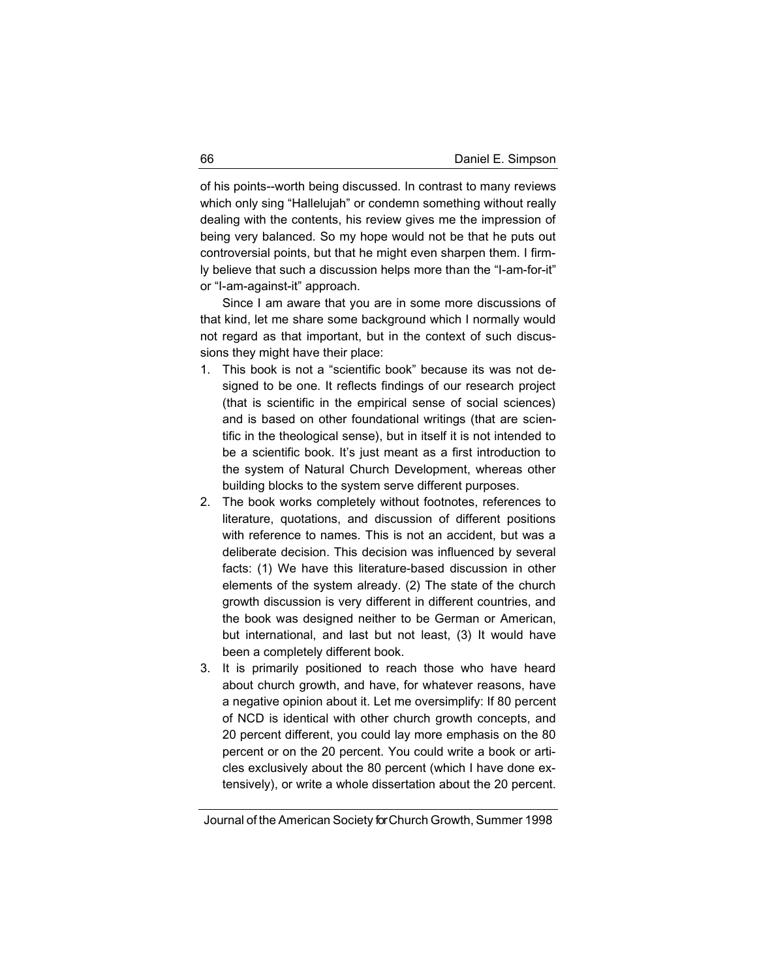of his points--worth being discussed. In contrast to many reviews which only sing "Hallelujah" or condemn something without really dealing with the contents, his review gives me the impression of being very balanced. So my hope would not be that he puts out controversial points, but that he might even sharpen them. I firmly believe that such a discussion helps more than the "I-am-for-it" or "I-am-against-it" approach.

Since I am aware that you are in some more discussions of that kind, let me share some background which I normally would not regard as that important, but in the context of such discussions they might have their place:

- 1. This book is not a "scientific book" because its was not designed to be one. It reflects findings of our research project (that is scientific in the empirical sense of social sciences) and is based on other foundational writings (that are scientific in the theological sense), but in itself it is not intended to be a scientific book. It's just meant as a first introduction to the system of Natural Church Development, whereas other building blocks to the system serve different purposes.
- 2. The book works completely without footnotes, references to literature, quotations, and discussion of different positions with reference to names. This is not an accident, but was a deliberate decision. This decision was influenced by several facts: (1) We have this literature-based discussion in other elements of the system already. (2) The state of the church growth discussion is very different in different countries, and the book was designed neither to be German or American, but international, and last but not least, (3) It would have been a completely different book.
- 3. It is primarily positioned to reach those who have heard about church growth, and have, for whatever reasons, have a negative opinion about it. Let me oversimplify: If 80 percent of NCD is identical with other church growth concepts, and 20 percent different, you could lay more emphasis on the 80 percent or on the 20 percent. You could write a book or articles exclusively about the 80 percent (which I have done extensively), or write a whole dissertation about the 20 percent.

Journal of the American Society for Church Growth, Summer 1998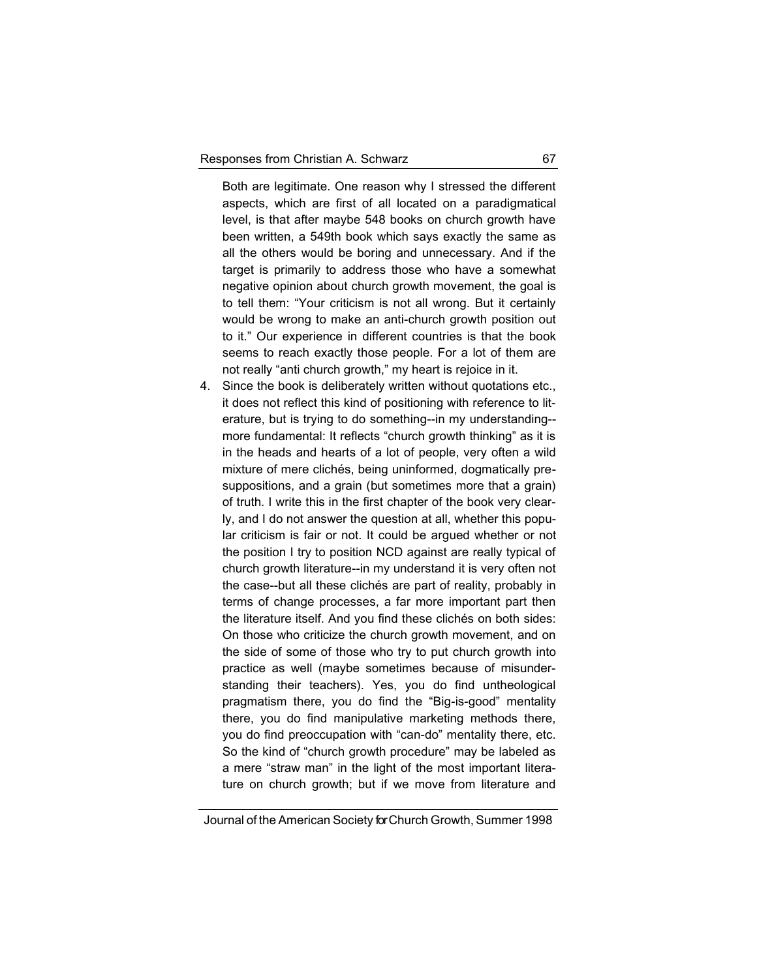Both are legitimate. One reason why I stressed the different aspects, which are first of all located on a paradigmatical level, is that after maybe 548 books on church growth have been written, a 549th book which says exactly the same as all the others would be boring and unnecessary. And if the target is primarily to address those who have a somewhat negative opinion about church growth movement, the goal is to tell them: "Your criticism is not all wrong. But it certainly would be wrong to make an anti-church growth position out to it." Our experience in different countries is that the book seems to reach exactly those people. For a lot of them are not really "anti church growth," my heart is rejoice in it.

4. Since the book is deliberately written without quotations etc., it does not reflect this kind of positioning with reference to literature, but is trying to do something--in my understanding- more fundamental: It reflects "church growth thinking" as it is in the heads and hearts of a lot of people, very often a wild mixture of mere clichés, being uninformed, dogmatically presuppositions, and a grain (but sometimes more that a grain) of truth. I write this in the first chapter of the book very clearly, and I do not answer the question at all, whether this popular criticism is fair or not. It could be argued whether or not the position I try to position NCD against are really typical of church growth literature--in my understand it is very often not the case--but all these clichés are part of reality, probably in terms of change processes, a far more important part then the literature itself. And you find these clichés on both sides: On those who criticize the church growth movement, and on the side of some of those who try to put church growth into practice as well (maybe sometimes because of misunderstanding their teachers). Yes, you do find untheological pragmatism there, you do find the "Big-is-good" mentality there, you do find manipulative marketing methods there, you do find preoccupation with "can-do" mentality there, etc. So the kind of "church growth procedure" may be labeled as a mere "straw man" in the light of the most important literature on church growth; but if we move from literature and

Journal of the American Society for Church Growth, Summer 1998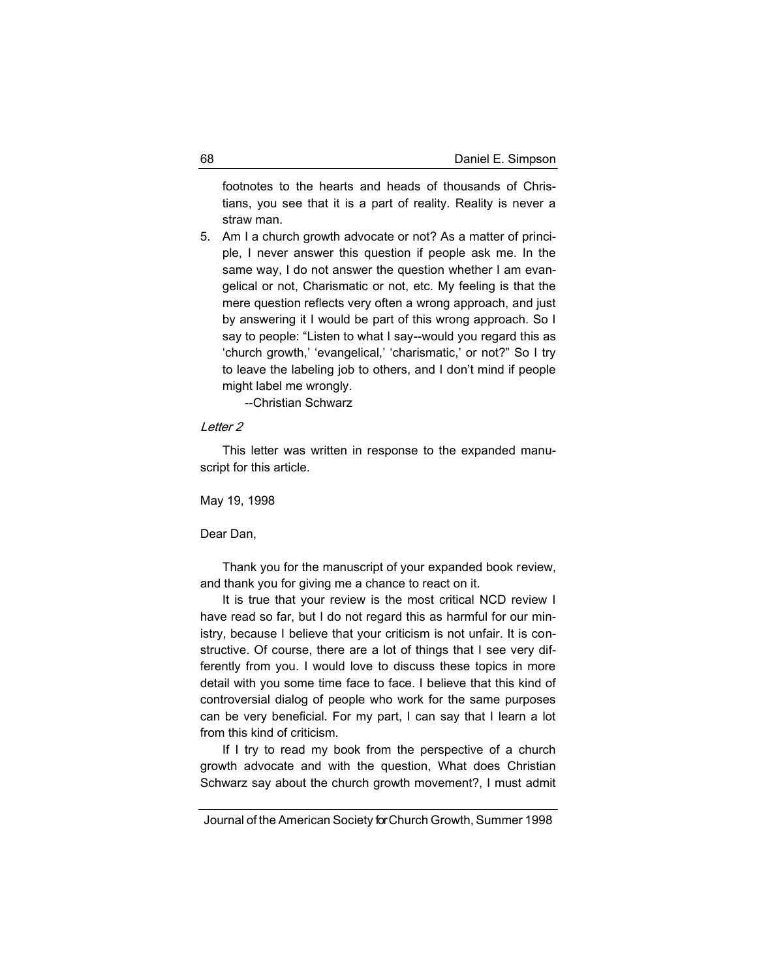footnotes to the hearts and heads of thousands of Christians, you see that it is a part of reality. Reality is never a straw man.

5. Am I a church growth advocate or not? As a matter of principle, I never answer this question if people ask me. In the same way, I do not answer the question whether I am evangelical or not, Charismatic or not, etc. My feeling is that the mere question reflects very often a wrong approach, and just by answering it I would be part of this wrong approach. So I say to people: "Listen to what I say--would you regard this as 'church growth,' 'evangelical,' 'charismatic,' or not?" So I try to leave the labeling job to others, and I don't mind if people might label me wrongly.

--Christian Schwarz

## Letter 2

This letter was written in response to the expanded manuscript for this article.

May 19, 1998

Dear Dan,

Thank you for the manuscript of your expanded book review, and thank you for giving me a chance to react on it.

It is true that your review is the most critical NCD review I have read so far, but I do not regard this as harmful for our ministry, because I believe that your criticism is not unfair. It is constructive. Of course, there are a lot of things that I see very differently from you. I would love to discuss these topics in more detail with you some time face to face. I believe that this kind of controversial dialog of people who work for the same purposes can be very beneficial. For my part, I can say that I learn a lot from this kind of criticism.

If I try to read my book from the perspective of a church growth advocate and with the question, What does Christian Schwarz say about the church growth movement?, I must admit

Journal of the American Society for Church Growth, Summer 1998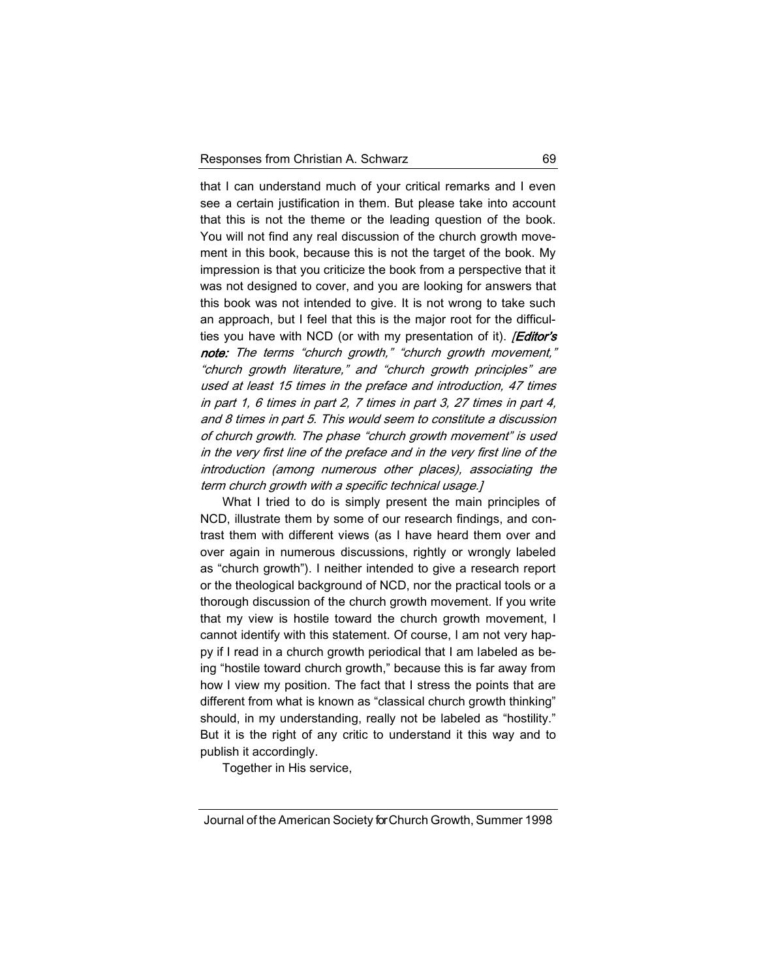that I can understand much of your critical remarks and I even see a certain justification in them. But please take into account that this is not the theme or the leading question of the book. You will not find any real discussion of the church growth movement in this book, because this is not the target of the book. My impression is that you criticize the book from a perspective that it was not designed to cover, and you are looking for answers that this book was not intended to give. It is not wrong to take such an approach, but I feel that this is the major root for the difficulties you have with NCD (or with my presentation of it). *Editor's* note: The terms "church growth," "church growth movement," "church growth literature," and "church growth principles" are used at least 15 times in the preface and introduction, 47 times in part 1, 6 times in part 2, 7 times in part 3, 27 times in part 4, and 8 times in part 5. This would seem to constitute a discussion of church growth. The phase "church growth movement" is used in the very first line of the preface and in the very first line of the introduction (among numerous other places), associating the term church growth with a specific technical usage.]

What I tried to do is simply present the main principles of NCD, illustrate them by some of our research findings, and contrast them with different views (as I have heard them over and over again in numerous discussions, rightly or wrongly labeled as "church growth"). I neither intended to give a research report or the theological background of NCD, nor the practical tools or a thorough discussion of the church growth movement. If you write that my view is hostile toward the church growth movement, I cannot identify with this statement. Of course, I am not very happy if I read in a church growth periodical that I am labeled as being "hostile toward church growth," because this is far away from how I view my position. The fact that I stress the points that are different from what is known as "classical church growth thinking" should, in my understanding, really not be labeled as "hostility." But it is the right of any critic to understand it this way and to publish it accordingly.

Together in His service,

Journal of the American Society for Church Growth, Summer 1998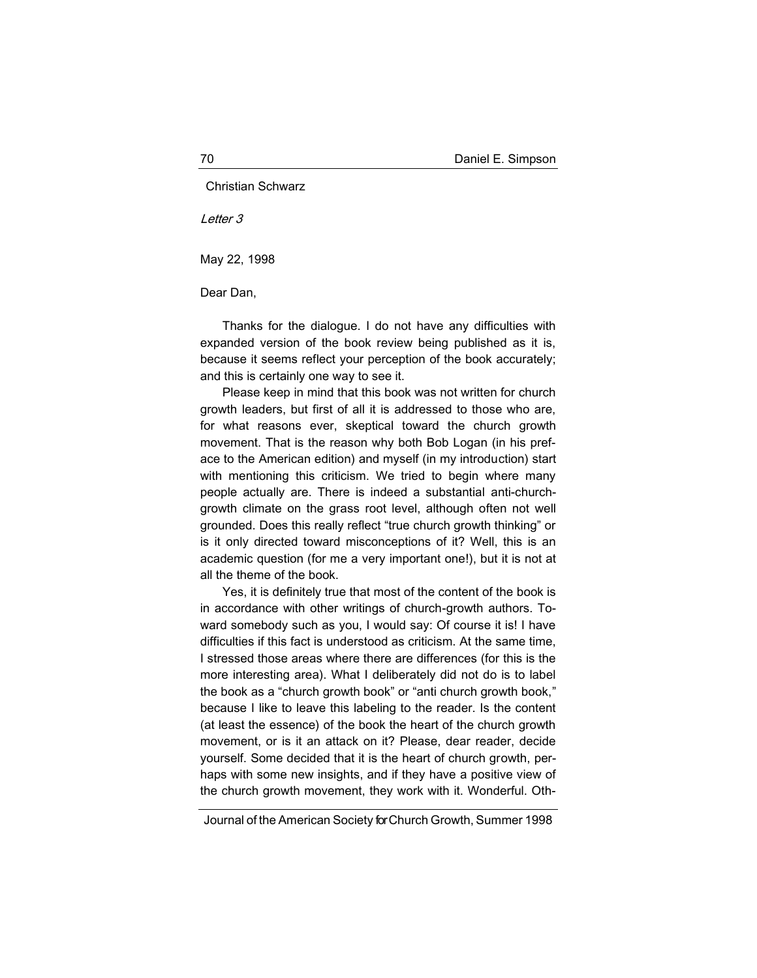Christian Schwarz

Letter 3

May 22, 1998

Dear Dan,

Thanks for the dialogue. I do not have any difficulties with expanded version of the book review being published as it is, because it seems reflect your perception of the book accurately; and this is certainly one way to see it.

Please keep in mind that this book was not written for church growth leaders, but first of all it is addressed to those who are, for what reasons ever, skeptical toward the church growth movement. That is the reason why both Bob Logan (in his preface to the American edition) and myself (in my introduction) start with mentioning this criticism. We tried to begin where many people actually are. There is indeed a substantial anti-churchgrowth climate on the grass root level, although often not well grounded. Does this really reflect "true church growth thinking" or is it only directed toward misconceptions of it? Well, this is an academic question (for me a very important one!), but it is not at all the theme of the book.

Yes, it is definitely true that most of the content of the book is in accordance with other writings of church-growth authors. Toward somebody such as you, I would say: Of course it is! I have difficulties if this fact is understood as criticism. At the same time, I stressed those areas where there are differences (for this is the more interesting area). What I deliberately did not do is to label the book as a "church growth book" or "anti church growth book," because I like to leave this labeling to the reader. Is the content (at least the essence) of the book the heart of the church growth movement, or is it an attack on it? Please, dear reader, decide yourself. Some decided that it is the heart of church growth, perhaps with some new insights, and if they have a positive view of the church growth movement, they work with it. Wonderful. Oth-

Journal of the American Society for Church Growth, Summer 1998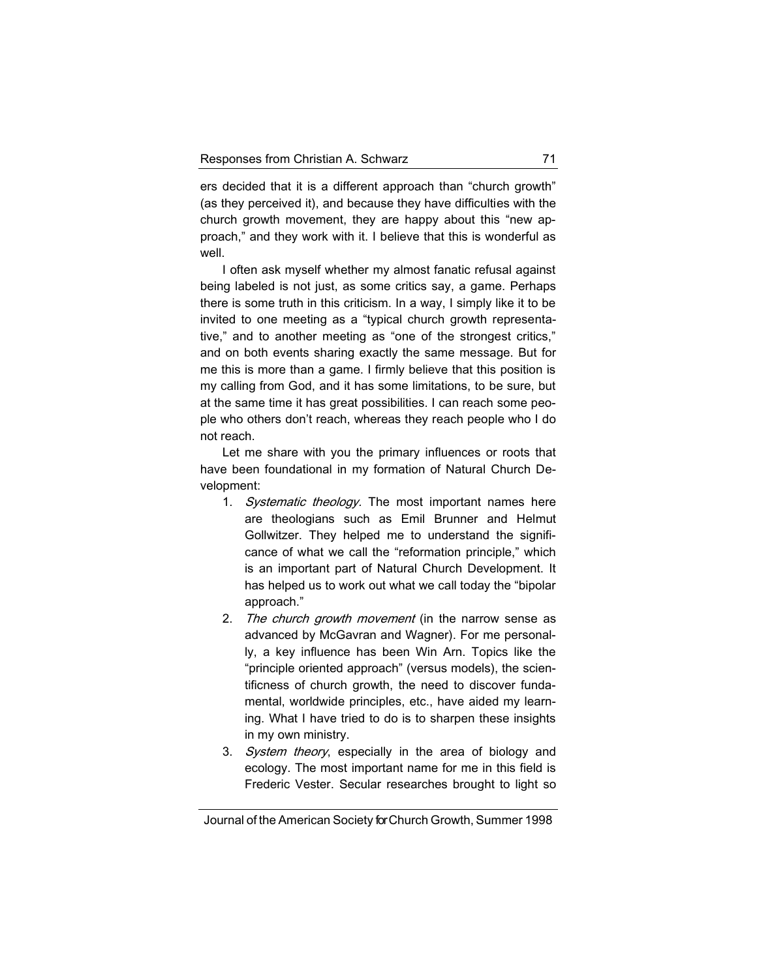ers decided that it is a different approach than "church growth" (as they perceived it), and because they have difficulties with the church growth movement, they are happy about this "new approach," and they work with it. I believe that this is wonderful as well.

I often ask myself whether my almost fanatic refusal against being labeled is not just, as some critics say, a game. Perhaps there is some truth in this criticism. In a way, I simply like it to be invited to one meeting as a "typical church growth representative," and to another meeting as "one of the strongest critics," and on both events sharing exactly the same message. But for me this is more than a game. I firmly believe that this position is my calling from God, and it has some limitations, to be sure, but at the same time it has great possibilities. I can reach some people who others don't reach, whereas they reach people who I do not reach.

Let me share with you the primary influences or roots that have been foundational in my formation of Natural Church Development:

- 1. Systematic theology. The most important names here are theologians such as Emil Brunner and Helmut Gollwitzer. They helped me to understand the significance of what we call the "reformation principle," which is an important part of Natural Church Development. It has helped us to work out what we call today the "bipolar approach."
- 2. The church growth movement (in the narrow sense as advanced by McGavran and Wagner). For me personally, a key influence has been Win Arn. Topics like the "principle oriented approach" (versus models), the scientificness of church growth, the need to discover fundamental, worldwide principles, etc., have aided my learning. What I have tried to do is to sharpen these insights in my own ministry.
- 3. System theory, especially in the area of biology and ecology. The most important name for me in this field is Frederic Vester. Secular researches brought to light so

Journal of the American Society for Church Growth, Summer 1998